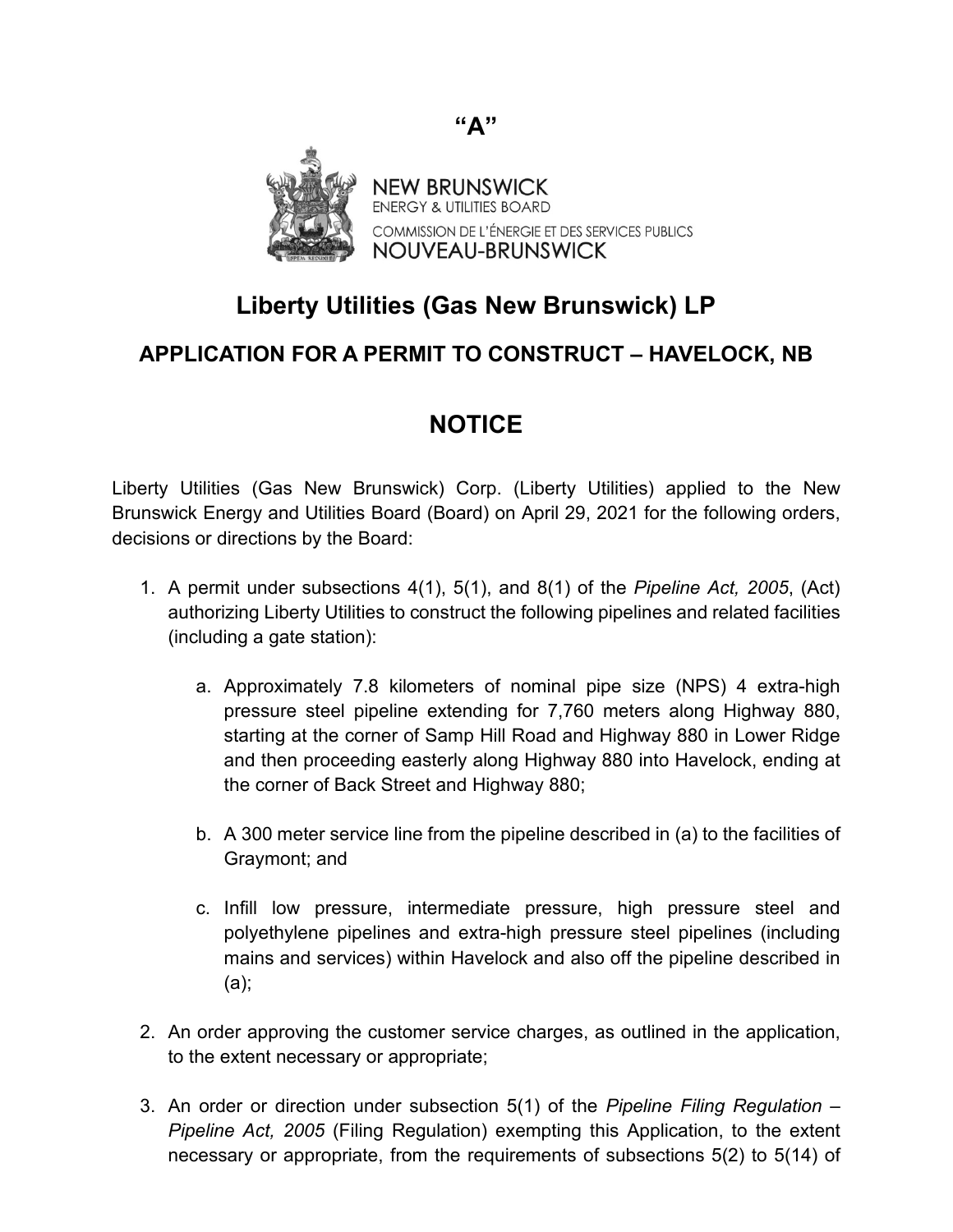

## **Liberty Utilities (Gas New Brunswick) LP**

## **APPLICATION FOR A PERMIT TO CONSTRUCT – HAVELOCK, NB**

## **NOTICE**

Liberty Utilities (Gas New Brunswick) Corp. (Liberty Utilities) applied to the New Brunswick Energy and Utilities Board (Board) on April 29, 2021 for the following orders, decisions or directions by the Board:

- 1. A permit under subsections 4(1), 5(1), and 8(1) of the *Pipeline Act, 2005*, (Act) authorizing Liberty Utilities to construct the following pipelines and related facilities (including a gate station):
	- a. Approximately 7.8 kilometers of nominal pipe size (NPS) 4 extra-high pressure steel pipeline extending for 7,760 meters along Highway 880, starting at the corner of Samp Hill Road and Highway 880 in Lower Ridge and then proceeding easterly along Highway 880 into Havelock, ending at the corner of Back Street and Highway 880;
	- b. A 300 meter service line from the pipeline described in (a) to the facilities of Graymont; and
	- c. Infill low pressure, intermediate pressure, high pressure steel and polyethylene pipelines and extra-high pressure steel pipelines (including mains and services) within Havelock and also off the pipeline described in (a);
- 2. An order approving the customer service charges, as outlined in the application, to the extent necessary or appropriate;
- 3. An order or direction under subsection 5(1) of the *Pipeline Filing Regulation – Pipeline Act, 2005* (Filing Regulation) exempting this Application, to the extent necessary or appropriate, from the requirements of subsections 5(2) to 5(14) of